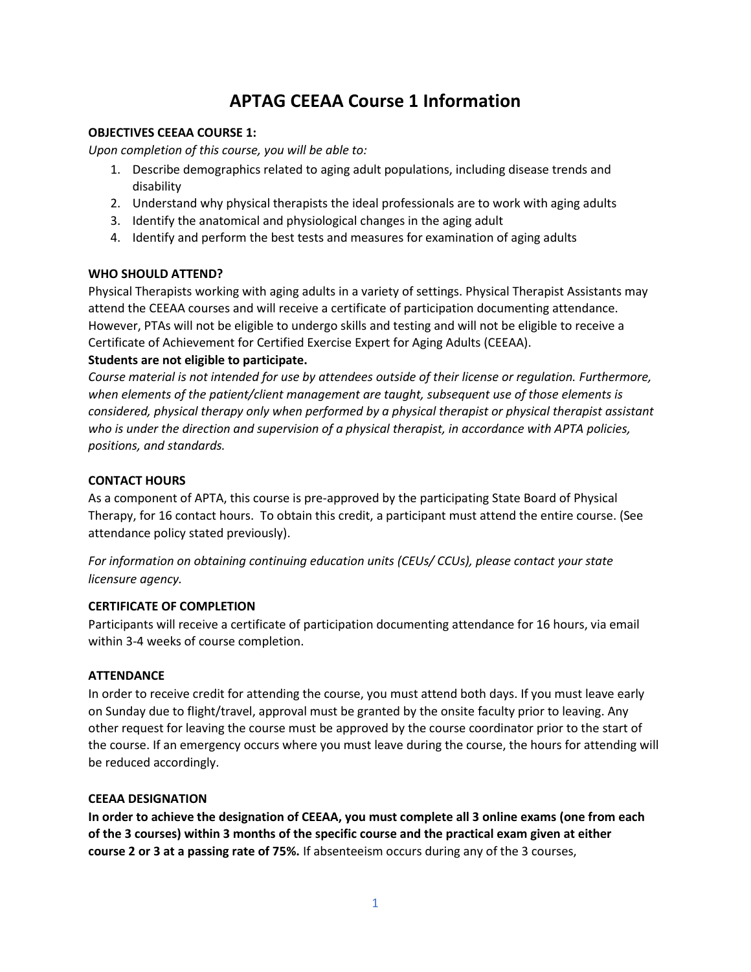# **APTAG CEEAA Course 1 Information**

## **OBJECTIVES CEEAA COURSE 1:**

*Upon completion of this course, you will be able to:* 

- 1. Describe demographics related to aging adult populations, including disease trends and disability
- 2. Understand why physical therapists the ideal professionals are to work with aging adults
- 3. Identify the anatomical and physiological changes in the aging adult
- 4. Identify and perform the best tests and measures for examination of aging adults

# **WHO SHOULD ATTEND?**

Physical Therapists working with aging adults in a variety of settings. Physical Therapist Assistants may attend the CEEAA courses and will receive a certificate of participation documenting attendance. However, PTAs will not be eligible to undergo skills and testing and will not be eligible to receive a Certificate of Achievement for Certified Exercise Expert for Aging Adults (CEEAA).

# **Students are not eligible to participate.**

*Course material is not intended for use by attendees outside of their license or regulation. Furthermore, when elements of the patient/client management are taught, subsequent use of those elements is considered, physical therapy only when performed by a physical therapist or physical therapist assistant who is under the direction and supervision of a physical therapist, in accordance with APTA policies, positions, and standards.* 

## **CONTACT HOURS**

As a component of APTA, this course is pre-approved by the participating State Board of Physical Therapy, for 16 contact hours. To obtain this credit, a participant must attend the entire course. (See attendance policy stated previously).

*For information on obtaining continuing education units (CEUs/ CCUs), please contact your state licensure agency.*

#### **CERTIFICATE OF COMPLETION**

Participants will receive a certificate of participation documenting attendance for 16 hours, via email within 3-4 weeks of course completion.

#### **ATTENDANCE**

In order to receive credit for attending the course, you must attend both days. If you must leave early on Sunday due to flight/travel, approval must be granted by the onsite faculty prior to leaving. Any other request for leaving the course must be approved by the course coordinator prior to the start of the course. If an emergency occurs where you must leave during the course, the hours for attending will be reduced accordingly.

#### **CEEAA DESIGNATION**

**In order to achieve the designation of CEEAA, you must complete all 3 online exams (one from each of the 3 courses) within 3 months of the specific course and the practical exam given at either course 2 or 3 at a passing rate of 75%.** If absenteeism occurs during any of the 3 courses,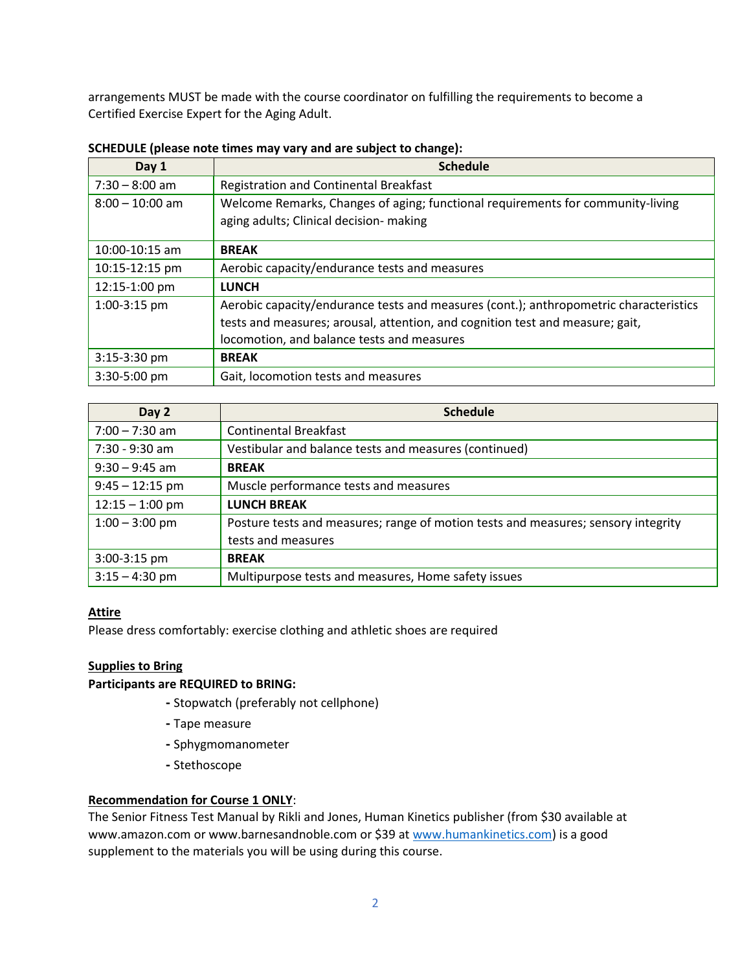arrangements MUST be made with the course coordinator on fulfilling the requirements to become a Certified Exercise Expert for the Aging Adult.

| Day 1              | <b>Schedule</b>                                                                                                                                                                                                      |
|--------------------|----------------------------------------------------------------------------------------------------------------------------------------------------------------------------------------------------------------------|
| $7:30 - 8:00$ am   | <b>Registration and Continental Breakfast</b>                                                                                                                                                                        |
| $8:00 - 10:00$ am  | Welcome Remarks, Changes of aging; functional requirements for community-living<br>aging adults; Clinical decision- making                                                                                           |
| $10:00 - 10:15$ am | <b>BREAK</b>                                                                                                                                                                                                         |
| 10:15-12:15 pm     | Aerobic capacity/endurance tests and measures                                                                                                                                                                        |
| 12:15-1:00 pm      | <b>LUNCH</b>                                                                                                                                                                                                         |
| 1:00-3:15 pm       | Aerobic capacity/endurance tests and measures (cont.); anthropometric characteristics<br>tests and measures; arousal, attention, and cognition test and measure; gait,<br>locomotion, and balance tests and measures |
| 3:15-3:30 pm       | <b>BREAK</b>                                                                                                                                                                                                         |
| $3:30-5:00$ pm     | Gait, locomotion tests and measures                                                                                                                                                                                  |

**SCHEDULE (please note times may vary and are subject to change):**

| Day 2             | <b>Schedule</b>                                                                   |
|-------------------|-----------------------------------------------------------------------------------|
| $7:00 - 7:30$ am  | <b>Continental Breakfast</b>                                                      |
| 7:30 - 9:30 am    | Vestibular and balance tests and measures (continued)                             |
| $9:30 - 9:45$ am  | <b>BREAK</b>                                                                      |
| $9:45 - 12:15$ pm | Muscle performance tests and measures                                             |
| $12:15 - 1:00$ pm | <b>LUNCH BREAK</b>                                                                |
| $1:00 - 3:00$ pm  | Posture tests and measures; range of motion tests and measures; sensory integrity |
|                   | tests and measures                                                                |
| 3:00-3:15 pm      | <b>BREAK</b>                                                                      |
| $3:15 - 4:30$ pm  | Multipurpose tests and measures, Home safety issues                               |

# **Attire**

Please dress comfortably: exercise clothing and athletic shoes are required

# **Supplies to Bring**

#### **Participants are REQUIRED to BRING:**

- **-** Stopwatch (preferably not cellphone)
- **-** Tape measure
- **-** Sphygmomanometer
- **-** Stethoscope

# **Recommendation for Course 1 ONLY**:

The Senior Fitness Test Manual by Rikli and Jones, Human Kinetics publisher (from \$30 available at www.amazon.com or www.barnesandnoble.com or \$39 a[t www.humankinetics.com\)](http://www.humankinetics.com/) is a good supplement to the materials you will be using during this course.